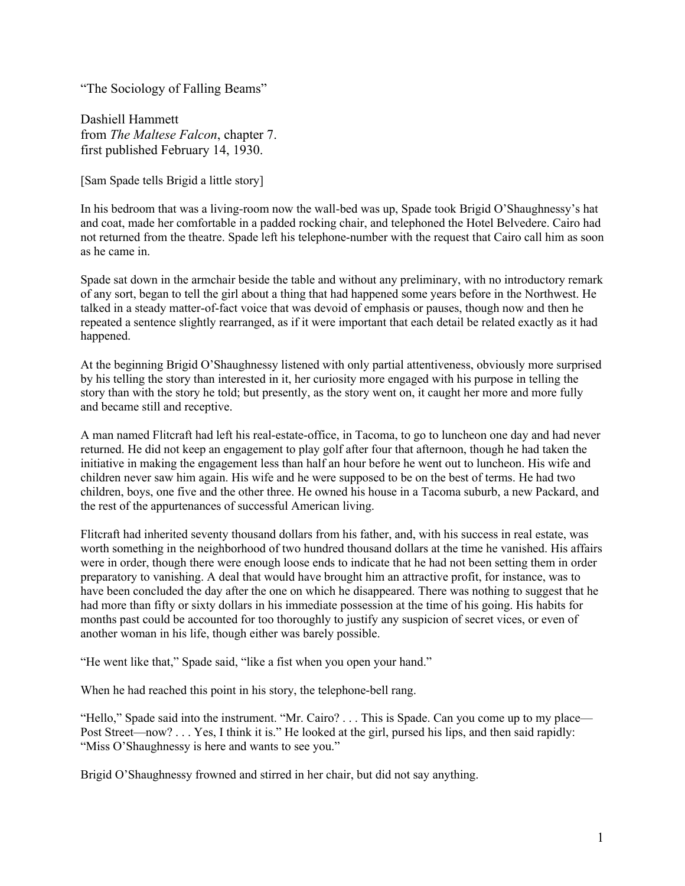"The Sociology of Falling Beams"

Dashiell Hammett from *The Maltese Falcon*, chapter 7. first published February 14, 1930.

[Sam Spade tells Brigid a little story]

In his bedroom that was a living-room now the wall-bed was up, Spade took Brigid O'Shaughnessy's hat and coat, made her comfortable in a padded rocking chair, and telephoned the Hotel Belvedere. Cairo had not returned from the theatre. Spade left his telephone-number with the request that Cairo call him as soon as he came in.

Spade sat down in the armchair beside the table and without any preliminary, with no introductory remark of any sort, began to tell the girl about a thing that had happened some years before in the Northwest. He talked in a steady matter-of-fact voice that was devoid of emphasis or pauses, though now and then he repeated a sentence slightly rearranged, as if it were important that each detail be related exactly as it had happened.

At the beginning Brigid O'Shaughnessy listened with only partial attentiveness, obviously more surprised by his telling the story than interested in it, her curiosity more engaged with his purpose in telling the story than with the story he told; but presently, as the story went on, it caught her more and more fully and became still and receptive.

A man named Flitcraft had left his real-estate-office, in Tacoma, to go to luncheon one day and had never returned. He did not keep an engagement to play golf after four that afternoon, though he had taken the initiative in making the engagement less than half an hour before he went out to luncheon. His wife and children never saw him again. His wife and he were supposed to be on the best of terms. He had two children, boys, one five and the other three. He owned his house in a Tacoma suburb, a new Packard, and the rest of the appurtenances of successful American living.

Flitcraft had inherited seventy thousand dollars from his father, and, with his success in real estate, was worth something in the neighborhood of two hundred thousand dollars at the time he vanished. His affairs were in order, though there were enough loose ends to indicate that he had not been setting them in order preparatory to vanishing. A deal that would have brought him an attractive profit, for instance, was to have been concluded the day after the one on which he disappeared. There was nothing to suggest that he had more than fifty or sixty dollars in his immediate possession at the time of his going. His habits for months past could be accounted for too thoroughly to justify any suspicion of secret vices, or even of another woman in his life, though either was barely possible.

"He went like that," Spade said, "like a fist when you open your hand."

When he had reached this point in his story, the telephone-bell rang.

"Hello," Spade said into the instrument. "Mr. Cairo? . . . This is Spade. Can you come up to my place— Post Street—now? . . . Yes, I think it is." He looked at the girl, pursed his lips, and then said rapidly: "Miss O'Shaughnessy is here and wants to see you."

Brigid O'Shaughnessy frowned and stirred in her chair, but did not say anything.